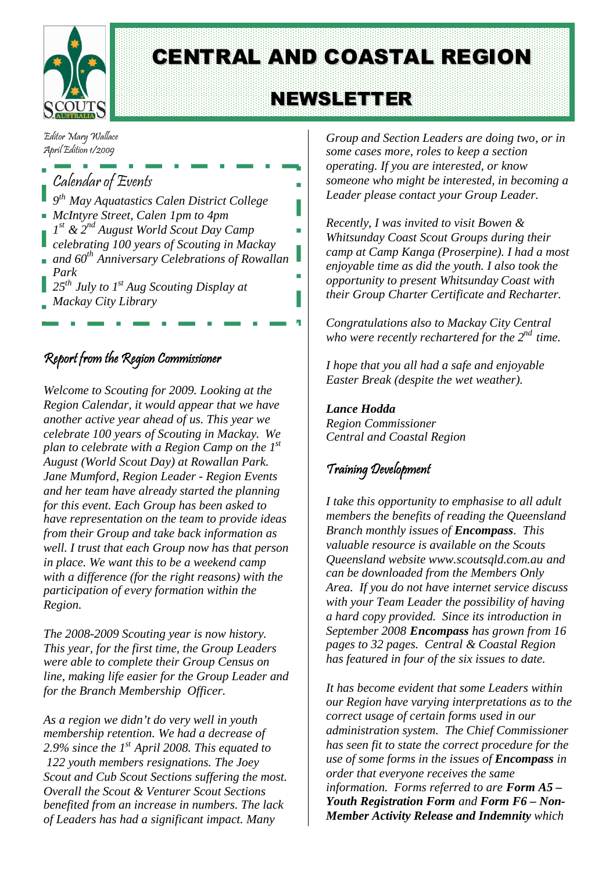

CENTRAL AND COASTAL REGION

# **NEWSLETTER**

Editor Mary Wallace April Edition 1/2009

## Calendar of Events

- *9 th May Aquatastics Calen District College McIntyre Street, Calen 1pm to 4pm*
- *1 st & 2nd August World Scout Day Camp*
- *celebrating 100 years of Scouting in Mackay*
- *and 60th Anniversary Celebrations of Rowallan Park*
- *25th July to 1st Aug Scouting Display at Mackay City Library*

### Report from the Region Commissioner

*Welcome to Scouting for 2009. Looking at the Region Calendar, it would appear that we have another active year ahead of us. This year we celebrate 100 years of Scouting in Mackay. We plan to celebrate with a Region Camp on the 1st August (World Scout Day) at Rowallan Park. Jane Mumford, Region Leader - Region Events and her team have already started the planning for this event. Each Group has been asked to have representation on the team to provide ideas from their Group and take back information as well. I trust that each Group now has that person in place. We want this to be a weekend camp with a difference (for the right reasons) with the participation of every formation within the Region.*

*The 2008-2009 Scouting year is now history. This year, for the first time, the Group Leaders were able to complete their Group Census on line, making life easier for the Group Leader and for the Branch Membership Officer.*

*As a region we didn't do very well in youth membership retention. We had a decrease of 2.9% since the 1st April 2008. This equated to 122 youth members resignations. The Joey Scout and Cub Scout Sections suffering the most. Overall the Scout & Venturer Scout Sections benefited from an increase in numbers. The lack of Leaders has had a significant impact. Many*

*Group and Section Leaders are doing two, or in some cases more, roles to keep a section operating. If you are interested, or know someone who might be interested, in becoming a Leader please contact your Group Leader.*

*Recently, I was invited to visit Bowen & Whitsunday Coast Scout Groups during their camp at Camp Kanga (Proserpine). I had a most enjoyable time as did the youth. I also took the opportunity to present Whitsunday Coast with their Group Charter Certificate and Recharter.*

*Congratulations also to Mackay City Central who were recently rechartered for the 2nd time.*

*I hope that you all had a safe and enjoyable Easter Break (despite the wet weather).*

*Lance Hodda Region Commissioner Central and Coastal Region*

### Training Development

*I take this opportunity to emphasise to all adult members the benefits of reading the Queensland Branch monthly issues of Encompass. This valuable resource is available on the Scouts Queensland website [www.scoutsqld.com.au](http://www.scoutsqld.com.au/) and can be downloaded from the Members Only Area. If you do not have internet service discuss with your Team Leader the possibility of having a hard copy provided. Since its introduction in September 2008 Encompass has grown from 16 pages to 32 pages. Central & Coastal Region has featured in four of the six issues to date.*

*It has become evident that some Leaders within our Region have varying interpretations as to the correct usage of certain forms used in our administration system. The Chief Commissioner has seen fit to state the correct procedure for the use of some forms in the issues of Encompass in order that everyone receives the same information. Forms referred to are Form A5 – Youth Registration Form and Form F6 – Non-Member Activity Release and Indemnity which*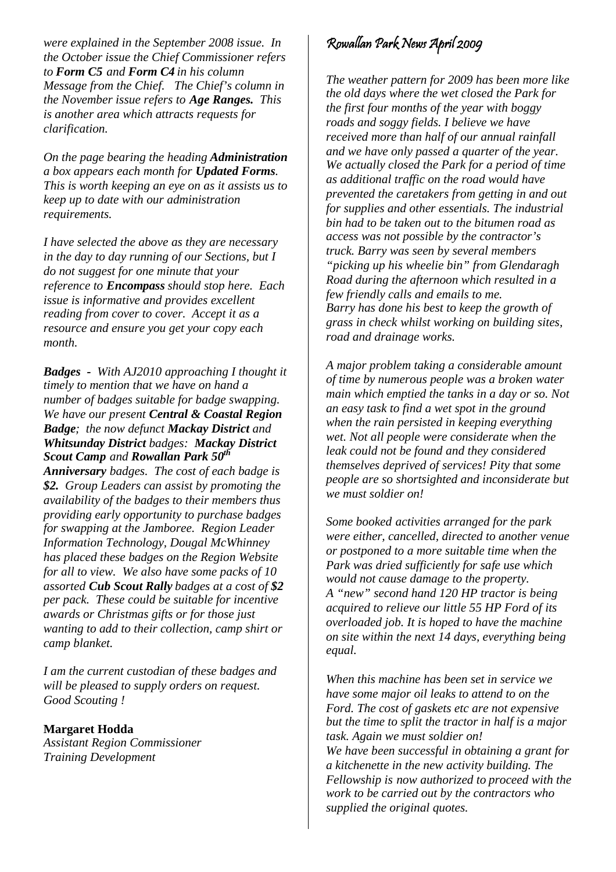*were explained in the September 2008 issue. In the October issue the Chief Commissioner refers to Form C5 and Form C4 in his column Message from the Chief. The Chief's column in the November issue refers to Age Ranges. This is another area which attracts requests for clarification.*

*On the page bearing the heading Administration a box appears each month for Updated Forms. This is worth keeping an eye on as it assists us to keep up to date with our administration requirements.*

*I have selected the above as they are necessary in the day to day running of our Sections, but I do not suggest for one minute that your reference to Encompass should stop here. Each issue is informative and provides excellent reading from cover to cover. Accept it as a resource and ensure you get your copy each month.*

*Badges - With AJ2010 approaching I thought it timely to mention that we have on hand a number of badges suitable for badge swapping. We have our present Central & Coastal Region Badge; the now defunct Mackay District and Whitsunday District badges: Mackay District Scout Camp and Rowallan Park 50th*

*Anniversary badges. The cost of each badge is \$2. Group Leaders can assist by promoting the availability of the badges to their members thus providing early opportunity to purchase badges for swapping at the Jamboree. Region Leader Information Technology, Dougal McWhinney has placed these badges on the Region Website for all to view. We also have some packs of 10 assorted Cub Scout Rally badges at a cost of \$2 per pack. These could be suitable for incentive awards or Christmas gifts or for those just wanting to add to their collection, camp shirt or camp blanket.*

*I am the current custodian of these badges and will be pleased to supply orders on request. Good Scouting !*

**Margaret Hodda** *Assistant Region Commissioner Training Development*

### Rowallan Park News April 2009

*The weather pattern for 2009 has been more like the old days where the wet closed the Park for the first four months of the year with boggy roads and soggy fields. I believe we have received more than half of our annual rainfall and we have only passed a quarter of the year. We actually closed the Park for a period of time as additional traffic on the road would have prevented the caretakers from getting in and out for supplies and other essentials. The industrial bin had to be taken out to the bitumen road as access was not possible by the contractor's truck. Barry was seen by several members "picking up his wheelie bin" from Glendaragh Road during the afternoon which resulted in a few friendly calls and emails to me. Barry has done his best to keep the growth of grass in check whilst working on building sites, road and drainage works.*

*A major problem taking a considerable amount of time by numerous people was a broken water main which emptied the tanks in a day or so. Not an easy task to find a wet spot in the ground when the rain persisted in keeping everything wet. Not all people were considerate when the leak could not be found and they considered themselves deprived of services! Pity that some people are so shortsighted and inconsiderate but we must soldier on!*

*Some booked activities arranged for the park were either, cancelled, directed to another venue or postponed to a more suitable time when the Park was dried sufficiently for safe use which would not cause damage to the property. A "new" second hand 120 HP tractor is being acquired to relieve our little 55 HP Ford of its overloaded job. It is hoped to have the machine on site within the next 14 days, everything being equal.*

*When this machine has been set in service we have some major oil leaks to attend to on the Ford. The cost of gaskets etc are not expensive but the time to split the tractor in half is a major task. Again we must soldier on! We have been successful in obtaining a grant for a kitchenette in the new activity building. The Fellowship is now authorized to proceed with the work to be carried out by the contractors who supplied the original quotes.*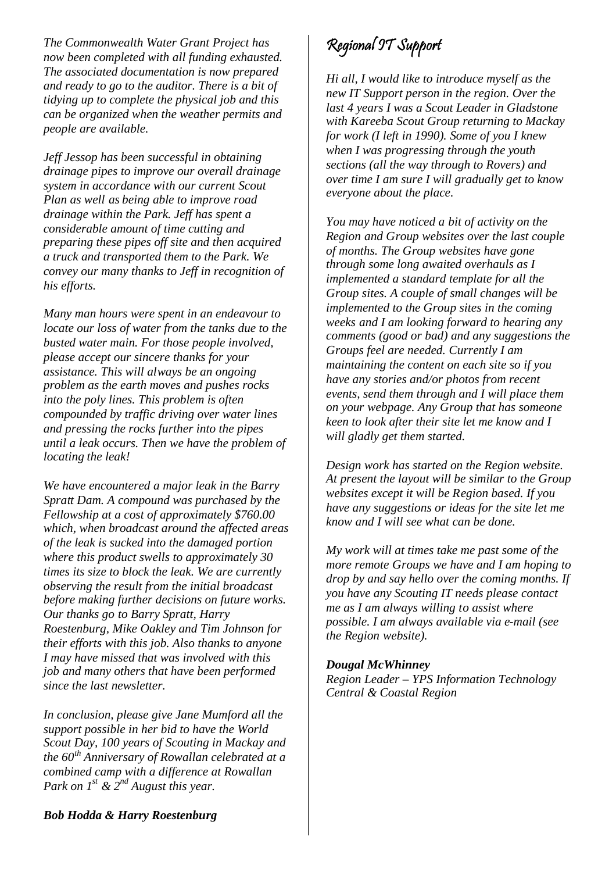*The Commonwealth Water Grant Project has now been completed with all funding exhausted. The associated documentation is now prepared and ready to go to the auditor. There is a bit of tidying up to complete the physical job and this can be organized when the weather permits and people are available.*

*Jeff Jessop has been successful in obtaining drainage pipes to improve our overall drainage system in accordance with our current Scout Plan as well as being able to improve road drainage within the Park. Jeff has spent a considerable amount of time cutting and preparing these pipes off site and then acquired a truck and transported them to the Park. We convey our many thanks to Jeff in recognition of his efforts.*

*Many man hours were spent in an endeavour to locate our loss of water from the tanks due to the busted water main. For those people involved, please accept our sincere thanks for your assistance. This will always be an ongoing problem as the earth moves and pushes rocks into the poly lines. This problem is often compounded by traffic driving over water lines and pressing the rocks further into the pipes until a leak occurs. Then we have the problem of locating the leak!*

*We have encountered a major leak in the Barry Spratt Dam. A compound was purchased by the Fellowship at a cost of approximately \$760.00 which, when broadcast around the affected areas of the leak is sucked into the damaged portion where this product swells to approximately 30 times its size to block the leak. We are currently observing the result from the initial broadcast before making further decisions on future works. Our thanks go to Barry Spratt, Harry Roestenburg, Mike Oakley and Tim Johnson for their efforts with this job. Also thanks to anyone I may have missed that was involved with this job and many others that have been performed since the last newsletter.*

*In conclusion, please give Jane Mumford all the support possible in her bid to have the World Scout Day, 100 years of Scouting in Mackay and the 60th Anniversary of Rowallan celebrated at a combined camp with a difference at Rowallan Park on 1st & 2nd August this year.*

## Regional IT Support

*Hi all, I would like to introduce myself as the new IT Support person in the region. Over the last 4 years I was a Scout Leader in Gladstone with Kareeba Scout Group returning to Mackay for work (I left in 1990). Some of you I knew when I was progressing through the youth sections (all the way through to Rovers) and over time I am sure I will gradually get to know everyone about the place.*

*You may have noticed a bit of activity on the Region and Group websites over the last couple of months. The Group websites have gone through some long awaited overhauls as I implemented a standard template for all the Group sites. A couple of small changes will be implemented to the Group sites in the coming weeks and I am looking forward to hearing any comments (good or bad) and any suggestions the Groups feel are needed. Currently I am maintaining the content on each site so if you have any stories and/or photos from recent events, send them through and I will place them on your webpage. Any Group that has someone keen to look after their site let me know and I will gladly get them started.*

*Design work has started on the Region website. At present the layout will be similar to the Group websites except it will be Region based. If you have any suggestions or ideas for the site let me know and I will see what can be done.*

*My work will at times take me past some of the more remote Groups we have and I am hoping to drop by and say hello over the coming months. If you have any Scouting IT needs please contact me as I am always willing to assist where possible. I am always available via e-mail (see the Region website).*

#### *Dougal McWhinney*

*Region Leader – YPS Information Technology Central & Coastal Region*

#### *Bob Hodda & Harry Roestenburg*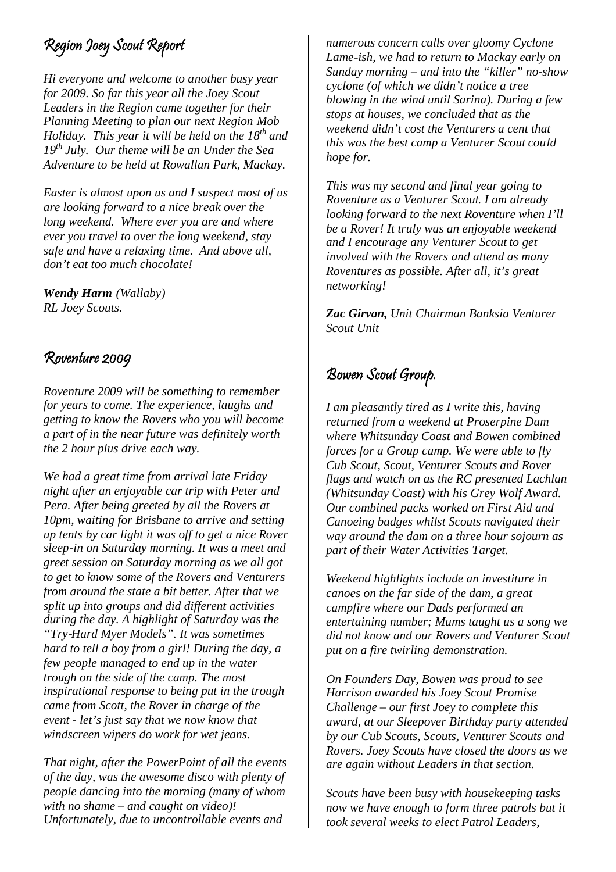## Region Joey Scout Report

*Hi everyone and welcome to another busy year for 2009. So far this year all the Joey Scout Leaders in the Region came together for their Planning Meeting to plan our next Region Mob Holiday. This year it will be held on the 18th and 19th July. Our theme will be an Under the Sea Adventure to be held at Rowallan Park, Mackay.*

*Easter is almost upon us and I suspect most of us are looking forward to a nice break over the long weekend. Where ever you are and where ever you travel to over the long weekend, stay safe and have a relaxing time. And above all, don't eat too much chocolate!*

*Wendy Harm (Wallaby) RL Joey Scouts.*

### Roventure 2009

*Roventure 2009 will be something to remember for years to come. The experience, laughs and getting to know the Rovers who you will become a part of in the near future was definitely worth the 2 hour plus drive each way.*

*We had a great time from arrival late Friday night after an enjoyable car trip with Peter and Pera. After being greeted by all the Rovers at 10pm, waiting for Brisbane to arrive and setting up tents by car light it was off to get a nice Rover sleep-in on Saturday morning. It was a meet and greet session on Saturday morning as we all got to get to know some of the Rovers and Venturers from around the state a bit better. After that we split up into groups and did different activities during the day. A highlight of Saturday was the "Try-Hard Myer Models". It was sometimes hard to tell a boy from a girl! During the day, a few people managed to end up in the water trough on the side of the camp. The most inspirational response to being put in the trough came from Scott, the Rover in charge of the event - let's just say that we now know that windscreen wipers do work for wet jeans.*

*That night, after the PowerPoint of all the events of the day, was the awesome disco with plenty of people dancing into the morning (many of whom with no shame – and caught on video)! Unfortunately, due to uncontrollable events and*

*numerous concern calls over gloomy Cyclone Lame-ish, we had to return to Mackay early on Sunday morning – and into the "killer" no-show cyclone (of which we didn't notice a tree blowing in the wind until Sarina). During a few stops at houses, we concluded that as the weekend didn't cost the Venturers a cent that this was the best camp a Venturer Scout could hope for.*

*This was my second and final year going to Roventure as a Venturer Scout. I am already looking forward to the next Roventure when I'll be a Rover! It truly was an enjoyable weekend and I encourage any Venturer Scout to get involved with the Rovers and attend as many Roventures as possible. After all, it's great networking!*

*Zac Girvan, Unit Chairman Banksia Venturer Scout Unit*

### Bowen Scout Group.

*I am pleasantly tired as I write this, having returned from a weekend at Proserpine Dam where Whitsunday Coast and Bowen combined forces for a Group camp. We were able to fly Cub Scout, Scout, Venturer Scouts and Rover flags and watch on as the RC presented Lachlan (Whitsunday Coast) with his Grey Wolf Award. Our combined packs worked on First Aid and Canoeing badges whilst Scouts navigated their way around the dam on a three hour sojourn as part of their Water Activities Target.*

*Weekend highlights include an investiture in canoes on the far side of the dam, a great campfire where our Dads performed an entertaining number; Mums taught us a song we did not know and our Rovers and Venturer Scout put on a fire twirling demonstration.*

*On Founders Day, Bowen was proud to see Harrison awarded his Joey Scout Promise Challenge – our first Joey to complete this award, at our Sleepover Birthday party attended by our Cub Scouts, Scouts, Venturer Scouts and Rovers. Joey Scouts have closed the doors as we are again without Leaders in that section.*

*Scouts have been busy with housekeeping tasks now we have enough to form three patrols but it took several weeks to elect Patrol Leaders,*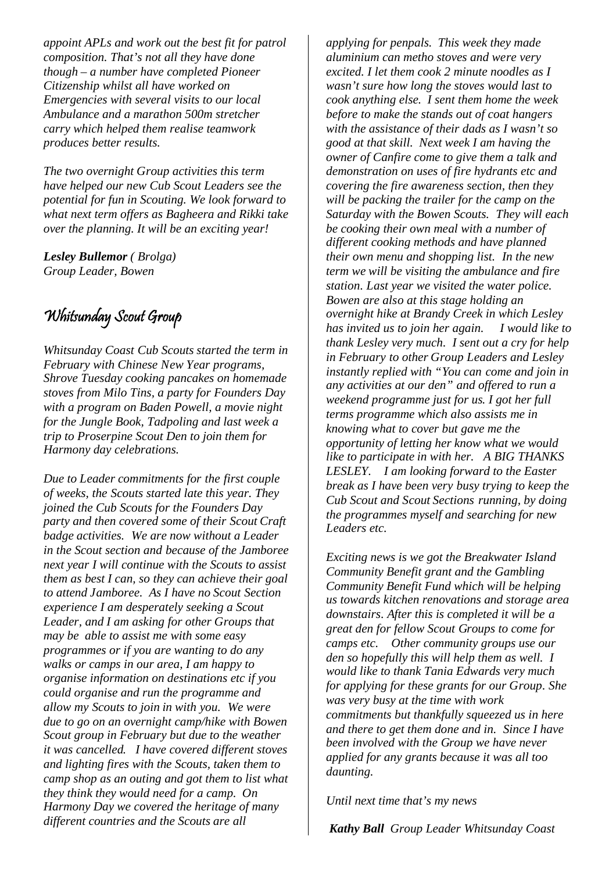*appoint APLs and work out the best fit for patrol composition. That's not all they have done though – a number have completed Pioneer Citizenship whilst all have worked on Emergencies with several visits to our local Ambulance and a marathon 500m stretcher carry which helped them realise teamwork produces better results.*

*The two overnight Group activities this term have helped our new Cub Scout Leaders see the potential for fun in Scouting. We look forward to what next term offers as Bagheera and Rikki take over the planning. It will be an exciting year!*

*Lesley Bullemor ( Brolga) Group Leader, Bowen*

## Whitsunday Scout Group

*Whitsunday Coast Cub Scouts started the term in February with Chinese New Year programs, Shrove Tuesday cooking pancakes on homemade stoves from Milo Tins, a party for Founders Day with a program on Baden Powell, a movie night for the Jungle Book, Tadpoling and last week a trip to Proserpine Scout Den to join them for Harmony day celebrations.*

*Due to Leader commitments for the first couple of weeks, the Scouts started late this year. They joined the Cub Scouts for the Founders Day party and then covered some of their Scout Craft badge activities. We are now without a Leader in the Scout section and because of the Jamboree next year I will continue with the Scouts to assist them as best I can, so they can achieve their goal to attend Jamboree. As I have no Scout Section experience I am desperately seeking a Scout Leader, and I am asking for other Groups that may be able to assist me with some easy programmes or if you are wanting to do any walks or camps in our area, I am happy to organise information on destinations etc if you could organise and run the programme and allow my Scouts to join in with you. We were due to go on an overnight camp/hike with Bowen Scout group in February but due to the weather it was cancelled. I have covered different stoves and lighting fires with the Scouts, taken them to camp shop as an outing and got them to list what they think they would need for a camp. On Harmony Day we covered the heritage of many different countries and the Scouts are all*

*applying for penpals. This week they made aluminium can metho stoves and were very excited. I let them cook 2 minute noodles as I wasn't sure how long the stoves would last to cook anything else. I sent them home the week before to make the stands out of coat hangers with the assistance of their dads as I wasn't so good at that skill. Next week I am having the owner of Canfire come to give them a talk and demonstration on uses of fire hydrants etc and covering the fire awareness section, then they will be packing the trailer for the camp on the Saturday with the Bowen Scouts. They will each be cooking their own meal with a number of different cooking methods and have planned their own menu and shopping list. In the new term we will be visiting the ambulance and fire station. Last year we visited the water police. Bowen are also at this stage holding an overnight hike at Brandy Creek in which Lesley has invited us to join her again. I would like to thank Lesley very much. I sent out a cry for help in February to other Group Leaders and Lesley instantly replied with "You can come and join in any activities at our den" and offered to run a weekend programme just for us. I got her full terms programme which also assists me in knowing what to cover but gave me the opportunity of letting her know what we would like to participate in with her. A BIG THANKS LESLEY. I am looking forward to the Easter break as I have been very busy trying to keep the Cub Scout and Scout Sections running, by doing the programmes myself and searching for new Leaders etc.*

*Exciting news is we got the Breakwater Island Community Benefit grant and the Gambling Community Benefit Fund which will be helping us towards kitchen renovations and storage area downstairs. After this is completed it will be a great den for fellow Scout Groups to come for camps etc. Other community groups use our den so hopefully this will help them as well. I would like to thank Tania Edwards very much for applying for these grants for our Group. She was very busy at the time with work commitments but thankfully squeezed us in here and there to get them done and in. Since I have been involved with the Group we have never applied for any grants because it was all too daunting.*

*Until next time that's my news*

*Kathy Ball Group Leader Whitsunday Coast*